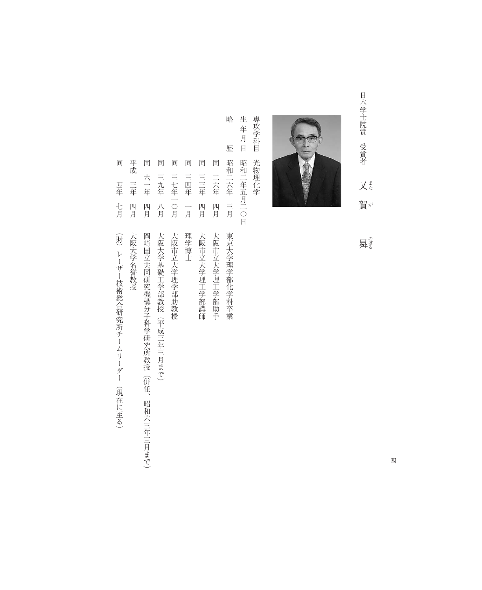日本学士院賞 受賞者 又悲 賀 が 日本学士院賞

曻影



専攻学科目 専攻学科目 光物理化学 光物理化学

生年月日 生 年 月 日 四和二年五月二〇日 昭和二年五月二〇日

略

歴

- 略 歴 昭和二六年 三月 東京大学理学部化学科卒業  $|\overrightarrow{\text{\i}}|$ 昭和二六年 三月 同 二六年 同 三三年 四月 大阪市立大学理工学部講師 同 二六年 四月 大阪市立大学理工学部助手 三三年 四月 四月 大阪市立大学理工学部講師 大阪市立大学理工学部助手 東京大学理学部化学科卒業
- 同 三四年 一月 理学博士 三四年 一月 理学博士

同

- 同 三七年一〇月 大阪市立大学理学部助教授 三七年一〇月 大阪市立大学理学部助教授
- 
- 同 三九年 八月 大阪大学基礎工学部教授(平成三年三月まで) 三九年 八月
- 大阪大学基礎工学部教授(平成三年三月まで)
- 
- 
- 同 六一年 四月 岡崎国立共同研究機構分子科学研究所教授(併任、昭和六三年三月まで) 六一年 四月 岡崎国立共同研究機構分子科学研究所教授(併任、昭和六三年三月まで)
- 

同

同 同

平成 三年 平成 三年 四月 大阪大学名誉教授 四月 大阪大学名誉教授

同

同 四年 七月 (財)レーザー技術総合研究所チームリーダー(現在に至る) 四年 七月 (財) レーザー技術総合研究所チームリーダー (現在に至る)

四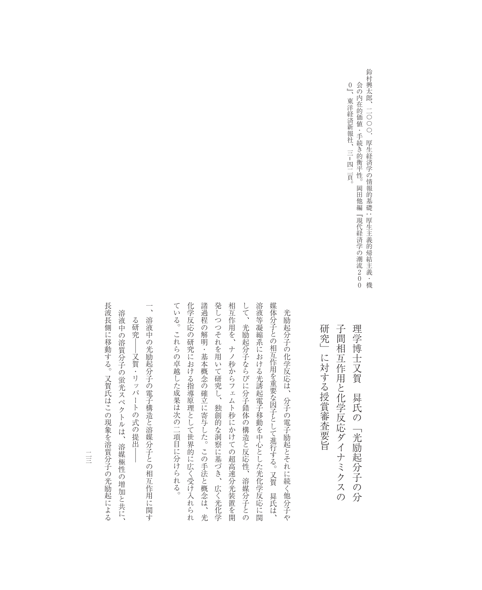鈴村興太郎、二〇〇〇.厚生経済学の情報的基礎:厚生主義的帰結主義・機 鈴村興太郎、二〇〇〇.厚生経済学の情報的基礎0』、東洋経済新報社、三– 会の内在的価値・手続き的衡平性。岡田他編『現代経済学の潮流200 四二頁。<br>四二頁。 厚生主義的帰結主義・機

子間相互作用と化学反応ダイナミクスの 理学博士又賀 研究」に対する授賞審査要旨 研究」に対する授賞審査要旨 子間相互作用と化学反応ダイナミクスの 曻氏の「光励起分子の分 氏の「光励起分子の分

発しつつそれを用いて研究し、 相互作用を、ナノ秒からフェムト秒にかけての超高速分光装置を開 ている。これらの卓越した成果は次の二項目に分けられる。 化学反応の研究における指導原理として世界的に広く受け入れられ 諸過程の解明・基本概念の確立に寄与した。この手法と概念は、光 して、光励起分子ならびに分子錯体の構造と反応性、溶媒分子との 溶液等凝縮系における光誘起電子移動を中心とした光化学反応に関 ている。これらの卓越した成果は次の二項目に分けられる。 化学反応の研究における指導原理として世界的に広く受け入れられ 諸過程の解明・基本概念の確立に寄与した。この手法と概念は、光 発しつつそれを用いて研究し、独創的な洞察に基づき、広く光化学 相互作用を、ナノ秒からフェムト秒にかけての超高速分光装置を開 して、光励起分子ならびに分子錯体の構造と反応性、溶媒分子との 溶液等凝縮系における光誘起電子移動を中心とした光化学反応に関 媒体分子との相互作用を重要な因子として進行する。又賀光励起分子の化学反応は、分子の電子励起とそれに続く他分子や 光励起分子の化学反応は、分子の電子励起とそれに続く他分子や 独創的な洞察に基づき、広く光化学 曻 氏は、

一、溶液中の光励起分子の電子構造と溶媒分子との相互作用に関す 、溶液中の光励起分子の電子構造と溶媒分子との相互作用に関す る研究– る研究――又賀・リッパートの式の提出―― ─又賀・リッパートの式の提出

溶液中の溶質分子の蛍光スペクトルは、 溶液中の溶質分子の蛍光スペクトルは、溶媒極性の増加と共に、 溶媒極性の増加と共に、

長波長側に移動する。又賀氏はこの現象を溶質分子の光励起による

長波長側に移動する。又賀氏はこの現象を溶質分子の光励起による

二三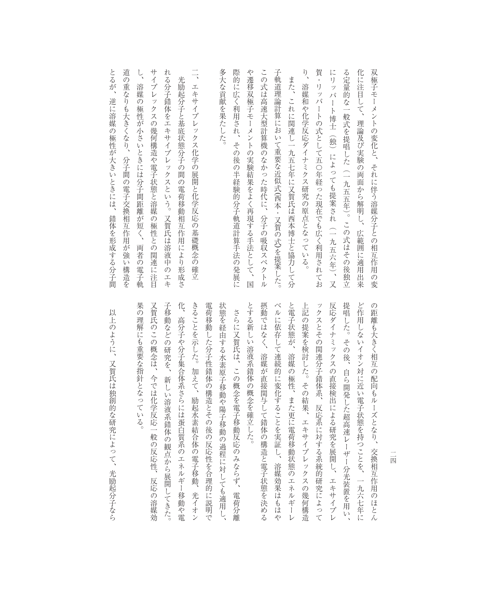化に注目して、 とるが、 道の重なりも大きくなり、  $L$ サイプレックスの幾何構造や電子状態と溶媒の極性との関連に注目 れる分子錯体をエキサイプレックスという。 多大な貢献を果たした。 際的に広く利用され、 や遷移双極子モーメントの実験結果をよく再現する手法として、国 この式は高速大型計算機のなかった時代に、 子軌道理論計算において重要な近似式(西本・又賀の式)を提案した。  $\sqrt{2}$ 賀・リッパートの式として五〇年経った現在でも広く利用されてお にリッパート博士 る定量的な一般式を提唱した(一九五五年)。この式はその後独立 双極子モーメントの変化と、それに伴う溶媒分子との相互作用の変 とるが、逆に溶媒の極性が大きいときには、錯体を形成する分子間 道の重なりも大きくなり、分子間の電子交換相互作用が強い構造を し、溶媒の極性が小さいときには分子間距離が短く、両者の電子軌 サイプレックスの幾何構造や電子状態と溶媒の極性との関連に注目 れる分子錯体をエキサイプレックスという。又賀氏は溶液中のエキ 二、エキサイプレックス化学の展開と化学反応の基礎概念の確立 多大な貢献を果たした。 際的に広く利用され、その後の半経験的分子軌道計算手法の発展に や遷移双極子モーメントの実験結果をよく再現する手法として、国 この式は高速大型計算機のなかった時代に、分子の吸収スペクトル 子軌道理論計算において重要な近似式( り、溶媒和や化学反応ダイナミクス研究の原点となっている。 賀・リッパートの式として五〇年経った現在でも広く利用されてお にリッパート博士(独)によっても提案され(一九五六年)、又 る定量的な一般式を提唱した(一九五五年)。この式はその後独立 化に注目して、理論及び実験の両面から解明し、広範囲に適用出来 双極子モーメントの変化と、それに伴う溶媒分子との相互作用の変  $\overrightarrow{a}$ 光励起分子と基底状態分子の間の電荷移動相互作用により形成さ 光励起分子と基底状態分子の間の電荷移動相互作用により形成さ また、これに関連し一九五七年に又賀氏は西本博士と協力して分 また、これに関連し一九五七年に又賀氏は西本博士と協力して分 エキサイプレックス化学の展開と化学反応の基礎概念の確立 溶媒の極性が小さいときには分子間距離が短く、 溶媒和や化学反応ダイナミクス研究の原点となっている。 逆に溶媒の極性が大きいときには、 理論及び実験の両面から解明し、 独 その後の半経験的分子軌道計算手法の発展に によっても提案され 西本・又賀の式) 錯体を形成する分子間 分子の吸収スペクトル (一九五六年)、 広範囲に適用出来 を提案した。 又

分子間の電子交換相互作用が強い構造を 又賀氏は溶液中のエキ 両者の電子軌

> とする新しい溶液系錯体の概念を確立した。 摂動ではなく、 ベルに依存して連続的に変化することを実証し、 と電子状態が、溶媒の極性、また更に電荷移動状態のエネルギーレ 上記の提案を検討した。その結果、エキサイプレックスの幾何構造 ックスとその関連分子錯体系、 提唱した。 ど作用しないイオン対に近い電子状態を持つことを、 反応ダイナミックスの直接検出による研究を展開し、 の距離も大きく相互の配向もルーズとなり、 とする新しい溶液系錯体の概念を確立した。 摂動ではなく、溶媒が直接関与して錯体の構造と電子状態を決める ベルに依存して連続的に変化することを実証し、溶媒効果はもはや と電子状態が、溶媒の極性、また更に電荷移動状態のエネルギーレ 上記の提案を検討した。その結果、エキサイプレックスの幾何構造 ックスとその関連分子錯体系、反応系に対する系統的研究によって 反応ダイナミックスの直接検出による研究を展開し、エキサイプレ 提唱した。その後、自ら開発した超高速レーザー分光装置を用い、 ど作用しないイオン対に近い電子状態を持つことを、一九六七年に の距離も大きく相互の配向もルーズとなり、交換相互作用のほとん その後、 溶媒が直接関与して錯体の構造と電子状態を決める 自ら開発した超高速レーザー分光装置を用い、 反応系に対する系統的研究によって 交換相互作用のほとん 溶媒効果はもはや エキサイプレ 一九六七年に

果の理解にも重要な指針となっている。 子移動などの研究を、 传 きることを示した。加えて、 又賀氏のこの概念は、 電荷移動した分子性錯体の構造とその後の反応性を合理的に説明で 状態を経由する水素原子移動や陽子移動の過程に対しても適用し、 果の理解にも重要な指針となっている。 又賀氏のこの概念は、今では化学反応一般の反応性、反応の溶媒効 子移動などの研究を、新しい溶液系錯体の観点から展開してきた。 化、高分子や分子集合体系さらには蛋白質系のエネルギー移動や電 きることを示した。加えて、励起水素結合体の電子移動、光イオン 電荷移動した分子性錯体の構造とその後の反応性を合理的に説明で 状態を経由する水素原子移動や陽子移動の過程に対しても適用し、 さらに又賀氏は、この概念を電子移動反応のみならず、 さらに又賀氏は、この概念を電子移動反応のみならず、電荷分離 高分子や分子集合体系さらには蛋白質系のエネルギー移動や電 今では化学反応一般の反応性、 新しい溶液系錯体の観点から展開してきた。 励起水素結合体の電子移動、 反応の溶媒効 光イオン 電荷分離

以上のように、又賀氏は独創的な研究によって、 以上のように、又賀氏は独創的な研究によって、光励起分子なら 光励起分子なら

二四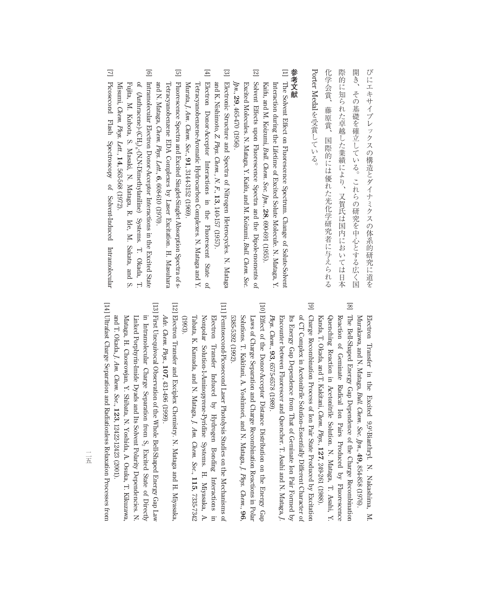び に エ キ サ イ プ レ ッ ク ス  $\mathcal{O}$ 構 造 と ダ イ ナ ミ ク ス  $\mathcal{O}$ 体 系 的 研 究 に 道 を 開 き  $\mathbf{r}$ そ  $\mathcal{O}$ 基 礎 を 確 立 し て い る 。 こ れ ら  $\mathcal{Q}$ 研 究 を 中 心 と す る 広 く 国 際 的 に 知 ら れ た 卓 越 し た 業 績 に よ り  $\mathbf{r}$ 又 賀 氏 は 国 内 に お い て は 日 本 化 学 会 賞  $\mathcal{L}_{\mathcal{A}}$ 藤 原 賞  $\ddot{\phantom{a}}$ 国 際 的 に は 優 れ た 光 化 学 研 究 者 に 与 え ら れ る Porter Medal を 受 賞 し て い る  $\overline{\phantom{a}}$ 

## **参 考 文 献**

- $\Xi$  The Solvent Effect on Fluorescence Spectrum. Change of Solute-Solvent Kaifu, and M. Koizumi, Interaction during the Lifetime of Excited Solute Molecule. N. Mataga, Y. *Bull. Chem. Soc. Jpn*., **28**, 690-691 (1955).
- [2] Solvent Effects upon Fluorescence Spectra and the Dipole-moments $\Omega$ Excited Molecules. N. Mataga, Y. Kaifu, and M. Koizumi, *Bull. Chem. Soc. Jpn*., **29**, 465-470 (1956).
- [3]ElectronicStructure and Spectra of Nitrogen Heterocycles. N. Mataga and K. Nishimoto, *Z. Phys. Chem., N. F*., **13**, 140-157 (1957).
- $[4]$  Electron Donor-AcceptorInteractionsin, the Fluorescent State of Murata, *J. Am. Chem. Soc*., **91**, Tetracyanobenzene-AromaticHydrocarbonComplexes. N. Mataga and Y. 3144-3152(1969).
- [5]Fluorescence Spectra and Excited Singlet-Singlet Absorption Spectra of sand N. Tetracyanobenzene EDA<br>and N. Mataga, *Chem. Ph*y Complexes by Laser Excitation. H. ene EDA Complexes by Laser Excitation. H. Masuhara<br>*Chem. Phys. Lett.*, **6**, 608-610 (1970).
- [6]Intramolecular Electron Donor-AcceptorInteractions in the Excited State of  $(A$ nthracene)- $(CH<sub>2</sub>)$ <sub>n</sub>-(N,N-Dimethylaniline) Systems. T. Okada, T. Misumi, Fujita, M. Kubota, S. Masaki, N. Mataga, R. Ide, M. Sakata, and S. *Chem. Phys. Lett.*, **14**, 563-568 (1972).
- $\Box$ Picosecond Flash Spectroscopy of Solvent-InducedIntramolecular

Murakawa, and N. Mataga, Electron Transfer in the Excited 9,9'-Bianthryl. N. Nakashima, M. *Bull. Chem. Soc. Jpn*., **49,** 854-858 (1976).

- [8] The Bell-Shaped Energy Gap Dependence $\tilde{a}$  the Charge Recombination Kanda, T. Okada, and T. Kakitani, Quenching Reaction in Acetonitrile Solution. N. Mataga, T. Asahi, Y. Reaction of Geminate Radical Ion Pairs Produced by Fluorescence *Chem. Phys*., **127**, 249-261 (1988).
- [9] Charge Recombination Process of Ion Pair State Produced by Excitation Encounter between Fluorescer and Quencher. T. Asahi and N. Mataga, *J.* Its Energy Gap Dependence from That of Geminate Ion Pair Formed by of CT Complex in AcetonitrileSolution–EssentiallyDifferentCharacter $\overline{a}$ *Phys*. *Chem*., **93**, 6575-6578(1989).
- [10] Effect of the Donor-Acceptor Distance Distribution on the Energy Gap Solutions. T. Kakitani, A. Yoshimori, and N. Mataga, *J.*Laws of Charge Separation and Charge RecombinationReactions in Polar  *Phys. Chem*., **96**, 5385-5392(1992).
- [11] Femtosecond-Picosecond Laser Photolysis Studies on the Mechanisms $\overline{a}$ Tabata, K. Kamada, and N. Mataga, *J.*Nonpolar Solution-1-Aminopyrene-Pyridine Systems. H. Miyasaka, A. Electron Transfer Induced by Hydrogen Bonding Interactions in  *Am. Chem. Soc*., **115**, 7335-7342 (1993).
- [12] Electron Transfer and Exciplex Chemistry. N. Mataga and H. Miyasaka, *Adv. Chem. Phys*., **107**, 431-496 (1999).
- [13] First UnequivocalObservation of the Whole Bell-Shaped Energy Gap Law in Intramolecular Charge Separationfrom  $S_2$ Excited State of Directly and T. Okada, *J. Am. Chem. Soc*., **123**, Mataga, H. Chosrowjan, Y. Shibata, N. Yoshida, A. Osuka, T. Kikuzawa, Linked Porphyrin-Imide Dyads and Its Solvent Polarity Dependencies. N. 12422-12423(2001).

[14] Ultrafast Charge Separation and RadiationlessRelaxationProcessesfrom